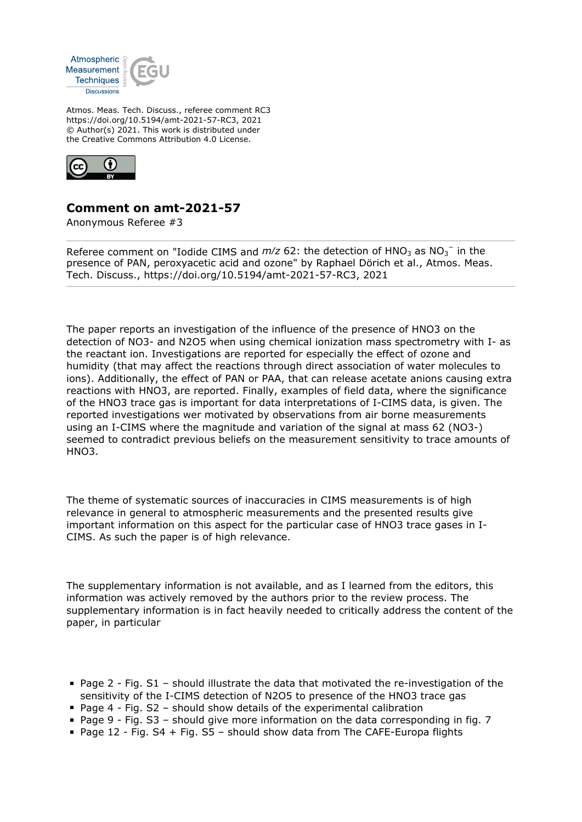

Atmos. Meas. Tech. Discuss., referee comment RC3 https://doi.org/10.5194/amt-2021-57-RC3, 2021 © Author(s) 2021. This work is distributed under the Creative Commons Attribution 4.0 License.



# **Comment on amt-2021-57**

Anonymous Referee #3

Referee comment on "Iodide CIMS and  $m/z$  62: the detection of  $HNO<sub>3</sub>$  as  $NO<sub>3</sub><sup>-</sup>$  in the presence of PAN, peroxyacetic acid and ozone" by Raphael Dörich et al., Atmos. Meas. Tech. Discuss., https://doi.org/10.5194/amt-2021-57-RC3, 2021

The paper reports an investigation of the influence of the presence of HNO3 on the detection of NO3- and N2O5 when using chemical ionization mass spectrometry with I- as the reactant ion. Investigations are reported for especially the effect of ozone and humidity (that may affect the reactions through direct association of water molecules to ions). Additionally, the effect of PAN or PAA, that can release acetate anions causing extra reactions with HNO3, are reported. Finally, examples of field data, where the significance of the HNO3 trace gas is important for data interpretations of I-CIMS data, is given. The reported investigations wer motivated by observations from air borne measurements using an I-CIMS where the magnitude and variation of the signal at mass 62 (NO3-) seemed to contradict previous beliefs on the measurement sensitivity to trace amounts of HNO3.

The theme of systematic sources of inaccuracies in CIMS measurements is of high relevance in general to atmospheric measurements and the presented results give important information on this aspect for the particular case of HNO3 trace gases in I-CIMS. As such the paper is of high relevance.

The supplementary information is not available, and as I learned from the editors, this information was actively removed by the authors prior to the review process. The supplementary information is in fact heavily needed to critically address the content of the paper, in particular

- Page 2 Fig. S1 should illustrate the data that motivated the re-investigation of the sensitivity of the I-CIMS detection of N2O5 to presence of the HNO3 trace gas
- Page 4 Fig.  $S2$  should show details of the experimental calibration
- Page 9 Fig. S3 should give more information on the data corresponding in fig. 7
- Page 12 Fig.  $S4$  + Fig.  $S5$  should show data from The CAFE-Europa flights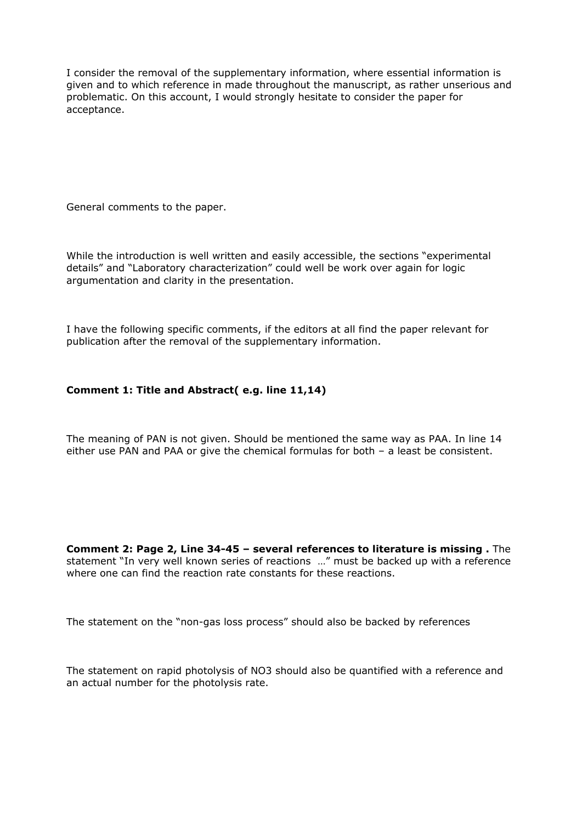I consider the removal of the supplementary information, where essential information is given and to which reference in made throughout the manuscript, as rather unserious and problematic. On this account, I would strongly hesitate to consider the paper for acceptance.

General comments to the paper.

While the introduction is well written and easily accessible, the sections "experimental details" and "Laboratory characterization" could well be work over again for logic argumentation and clarity in the presentation.

I have the following specific comments, if the editors at all find the paper relevant for publication after the removal of the supplementary information.

# **Comment 1: Title and Abstract( e.g. line 11,14)**

The meaning of PAN is not given. Should be mentioned the same way as PAA. In line 14 either use PAN and PAA or give the chemical formulas for both – a least be consistent.

**Comment 2: Page 2, Line 34-45 – several references to literature is missing .** The statement "In very well known series of reactions …" must be backed up with a reference where one can find the reaction rate constants for these reactions.

The statement on the "non-gas loss process" should also be backed by references

The statement on rapid photolysis of NO3 should also be quantified with a reference and an actual number for the photolysis rate.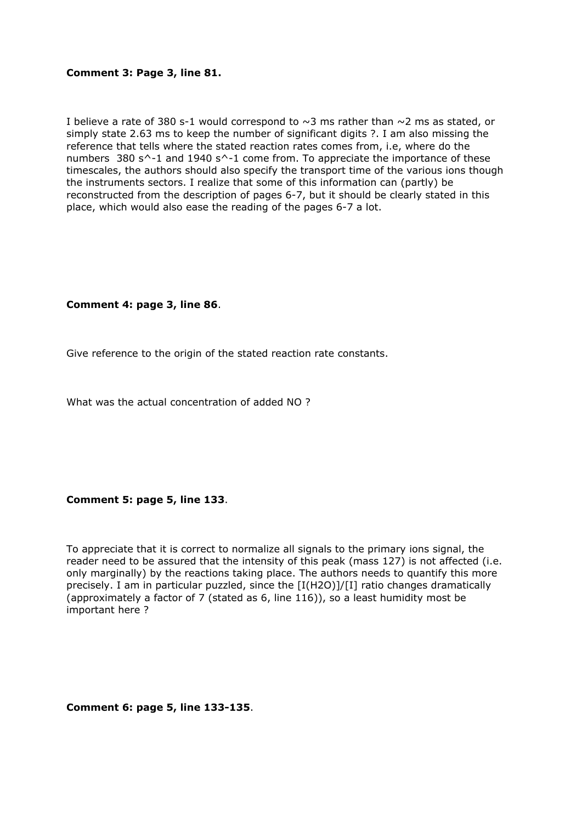#### **Comment 3: Page 3, line 81.**

I believe a rate of 380 s-1 would correspond to  $\sim$ 3 ms rather than  $\sim$ 2 ms as stated, or simply state 2.63 ms to keep the number of significant digits ?. I am also missing the reference that tells where the stated reaction rates comes from, i.e, where do the numbers 380 s^-1 and 1940 s^-1 come from. To appreciate the importance of these timescales, the authors should also specify the transport time of the various ions though the instruments sectors. I realize that some of this information can (partly) be reconstructed from the description of pages 6-7, but it should be clearly stated in this place, which would also ease the reading of the pages 6-7 a lot.

## **Comment 4: page 3, line 86**.

Give reference to the origin of the stated reaction rate constants.

What was the actual concentration of added NO ?

#### **Comment 5: page 5, line 133**.

To appreciate that it is correct to normalize all signals to the primary ions signal, the reader need to be assured that the intensity of this peak (mass 127) is not affected (i.e. only marginally) by the reactions taking place. The authors needs to quantify this more precisely. I am in particular puzzled, since the [I(H2O)]/[I] ratio changes dramatically (approximately a factor of 7 (stated as 6, line 116)), so a least humidity most be important here ?

**Comment 6: page 5, line 133-135**.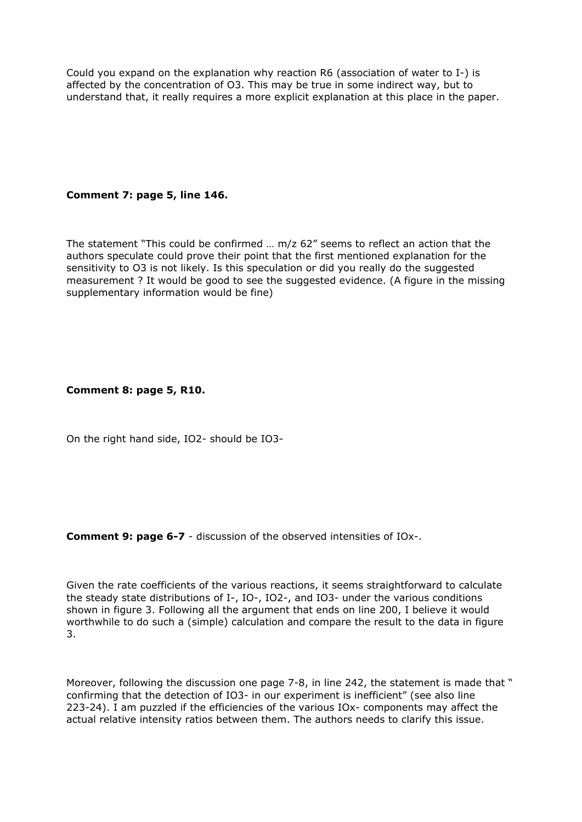Could you expand on the explanation why reaction R6 (association of water to I-) is affected by the concentration of O3. This may be true in some indirect way, but to understand that, it really requires a more explicit explanation at this place in the paper.

# **Comment 7: page 5, line 146.**

The statement "This could be confirmed … m/z 62" seems to reflect an action that the authors speculate could prove their point that the first mentioned explanation for the sensitivity to O3 is not likely. Is this speculation or did you really do the suggested measurement ? It would be good to see the suggested evidence. (A figure in the missing supplementary information would be fine)

## **Comment 8: page 5, R10.**

On the right hand side, IO2- should be IO3-

**Comment 9: page 6-7** - discussion of the observed intensities of IOx-.

Given the rate coefficients of the various reactions, it seems straightforward to calculate the steady state distributions of I-, IO-, IO2-, and IO3- under the various conditions shown in figure 3. Following all the argument that ends on line 200, I believe it would worthwhile to do such a (simple) calculation and compare the result to the data in figure 3.

Moreover, following the discussion one page 7-8, in line 242, the statement is made that " confirming that the detection of IO3- in our experiment is inefficient" (see also line 223-24). I am puzzled if the efficiencies of the various IOx- components may affect the actual relative intensity ratios between them. The authors needs to clarify this issue.